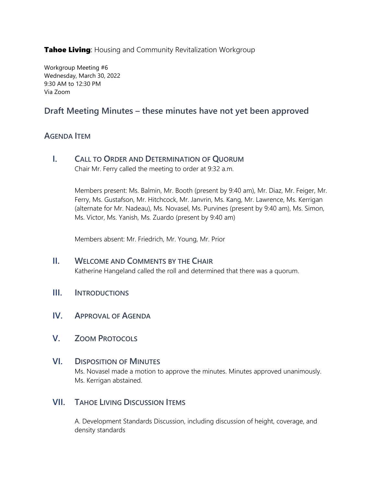**Tahoe Living:** Housing and Community Revitalization Workgroup

Workgroup Meeting #6 Wednesday, March 30, 2022 9:30 AM to 12:30 PM Via Zoom

## **Draft Meeting Minutes – these minutes have not yet been approved**

## **AGENDA ITEM**

**I. CALL TO ORDER AND DETERMINATION OF QUORUM** Chair Mr. Ferry called the meeting to order at 9:32 a.m.

> Members present: Ms. Balmin, Mr. Booth (present by 9:40 am), Mr. Diaz, Mr. Feiger, Mr. Ferry, Ms. Gustafson, Mr. Hitchcock, Mr. Janvrin, Ms. Kang, Mr. Lawrence, Ms. Kerrigan (alternate for Mr. Nadeau), Ms. Novasel, Ms. Purvines (present by 9:40 am), Ms. Simon, Ms. Victor, Ms. Yanish, Ms. Zuardo (present by 9:40 am)

Members absent: Mr. Friedrich, Mr. Young, Mr. Prior

- **II. WELCOME AND COMMENTS BY THE CHAIR** Katherine Hangeland called the roll and determined that there was a quorum.
- **III. INTRODUCTIONS**
- **IV. APPROVAL OF AGENDA**
- **V. ZOOM PROTOCOLS**

## **VI. DISPOSITION OF MINUTES**

Ms. Novasel made a motion to approve the minutes. Minutes approved unanimously. Ms. Kerrigan abstained.

## **VII. TAHOE LIVING DISCUSSION ITEMS**

A. Development Standards Discussion, including discussion of height, coverage, and density standards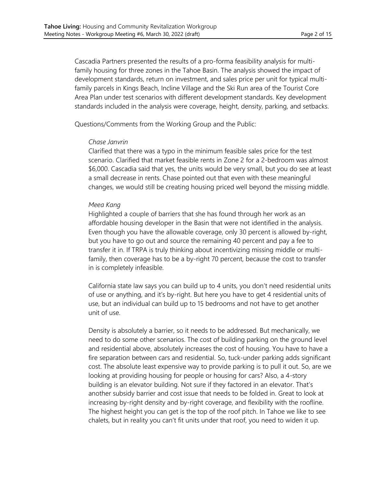Cascadia Partners presented the results of a pro-forma feasibility analysis for multifamily housing for three zones in the Tahoe Basin. The analysis showed the impact of development standards, return on investment, and sales price per unit for typical multifamily parcels in Kings Beach, Incline Village and the Ski Run area of the Tourist Core Area Plan under test scenarios with different development standards. Key development standards included in the analysis were coverage, height, density, parking, and setbacks.

Questions/Comments from the Working Group and the Public:

#### *Chase Janvrin*

Clarified that there was a typo in the minimum feasible sales price for the test scenario. Clarified that market feasible rents in Zone 2 for a 2-bedroom was almost \$6,000. Cascadia said that yes, the units would be very small, but you do see at least a small decrease in rents. Chase pointed out that even with these meaningful changes, we would still be creating housing priced well beyond the missing middle.

#### *Meea Kang*

Highlighted a couple of barriers that she has found through her work as an affordable housing developer in the Basin that were not identified in the analysis. Even though you have the allowable coverage, only 30 percent is allowed by-right, but you have to go out and source the remaining 40 percent and pay a fee to transfer it in. If TRPA is truly thinking about incentivizing missing middle or multifamily, then coverage has to be a by-right 70 percent, because the cost to transfer in is completely infeasible.

California state law says you can build up to 4 units, you don't need residential units of use or anything, and it's by-right. But here you have to get 4 residential units of use, but an individual can build up to 15 bedrooms and not have to get another unit of use.

Density is absolutely a barrier, so it needs to be addressed. But mechanically, we need to do some other scenarios. The cost of building parking on the ground level and residential above, absolutely increases the cost of housing. You have to have a fire separation between cars and residential. So, tuck-under parking adds significant cost. The absolute least expensive way to provide parking is to pull it out. So, are we looking at providing housing for people or housing for cars? Also, a 4-story building is an elevator building. Not sure if they factored in an elevator. That's another subsidy barrier and cost issue that needs to be folded in. Great to look at increasing by-right density and by-right coverage, and flexibility with the roofline. The highest height you can get is the top of the roof pitch. In Tahoe we like to see chalets, but in reality you can't fit units under that roof, you need to widen it up.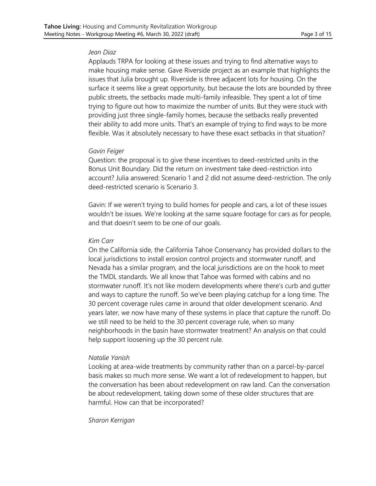#### *Jean Diaz*

Applauds TRPA for looking at these issues and trying to find alternative ways to make housing make sense. Gave Riverside project as an example that highlights the issues that Julia brought up. Riverside is three adjacent lots for housing. On the surface it seems like a great opportunity, but because the lots are bounded by three public streets, the setbacks made multi-family infeasible. They spent a lot of time trying to figure out how to maximize the number of units. But they were stuck with providing just three single-family homes, because the setbacks really prevented their ability to add more units. That's an example of trying to find ways to be more flexible. Was it absolutely necessary to have these exact setbacks in that situation?

#### *Gavin Feiger*

Question: the proposal is to give these incentives to deed-restricted units in the Bonus Unit Boundary. Did the return on investment take deed-restriction into account? Julia answered: Scenario 1 and 2 did not assume deed-restriction. The only deed-restricted scenario is Scenario 3.

Gavin: If we weren't trying to build homes for people and cars, a lot of these issues wouldn't be issues. We're looking at the same square footage for cars as for people, and that doesn't seem to be one of our goals.

#### *Kim Carr*

On the California side, the California Tahoe Conservancy has provided dollars to the local jurisdictions to install erosion control projects and stormwater runoff, and Nevada has a similar program, and the local jurisdictions are on the hook to meet the TMDL standards. We all know that Tahoe was formed with cabins and no stormwater runoff. It's not like modern developments where there's curb and gutter and ways to capture the runoff. So we've been playing catchup for a long time. The 30 percent coverage rules came in around that older development scenario. And years later, we now have many of these systems in place that capture the runoff. Do we still need to be held to the 30 percent coverage rule, when so many neighborhoods in the basin have stormwater treatment? An analysis on that could help support loosening up the 30 percent rule.

#### *Natalie Yanish*

Looking at area-wide treatments by community rather than on a parcel-by-parcel basis makes so much more sense. We want a lot of redevelopment to happen, but the conversation has been about redevelopment on raw land. Can the conversation be about redevelopment, taking down some of these older structures that are harmful. How can that be incorporated?

#### *Sharon Kerrigan*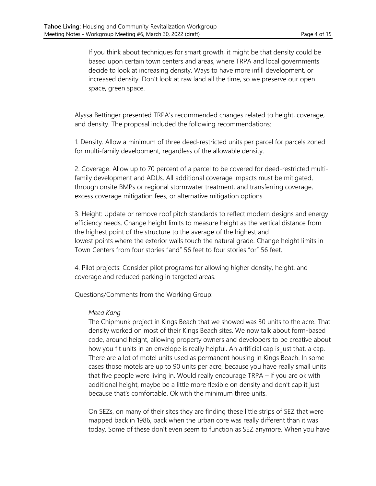If you think about techniques for smart growth, it might be that density could be based upon certain town centers and areas, where TRPA and local governments decide to look at increasing density. Ways to have more infill development, or increased density. Don't look at raw land all the time, so we preserve our open space, green space.

Alyssa Bettinger presented TRPA's recommended changes related to height, coverage, and density. The proposal included the following recommendations:

1. Density. Allow a minimum of three deed-restricted units per parcel for parcels zoned for multi-family development, regardless of the allowable density.

2. Coverage. Allow up to 70 percent of a parcel to be covered for deed-restricted multifamily development and ADUs. All additional coverage impacts must be mitigated, through onsite BMPs or regional stormwater treatment, and transferring coverage, excess coverage mitigation fees, or alternative mitigation options.

3. Height: Update or remove roof pitch standards to reflect modern designs and energy efficiency needs. Change height limits to measure height as the vertical distance from the highest point of the structure to the average of the highest and lowest points where the exterior walls touch the natural grade. Change height limits in Town Centers from four stories "and" 56 feet to four stories "or" 56 feet.

4. Pilot projects: Consider pilot programs for allowing higher density, height, and coverage and reduced parking in targeted areas.

Questions/Comments from the Working Group:

#### *Meea Kang*

The Chipmunk project in Kings Beach that we showed was 30 units to the acre. That density worked on most of their Kings Beach sites. We now talk about form-based code, around height, allowing property owners and developers to be creative about how you fit units in an envelope is really helpful. An artificial cap is just that, a cap. There are a lot of motel units used as permanent housing in Kings Beach. In some cases those motels are up to 90 units per acre, because you have really small units that five people were living in. Would really encourage TRPA – if you are ok with additional height, maybe be a little more flexible on density and don't cap it just because that's comfortable. Ok with the minimum three units.

On SEZs, on many of their sites they are finding these little strips of SEZ that were mapped back in 1986, back when the urban core was really different than it was today. Some of these don't even seem to function as SEZ anymore. When you have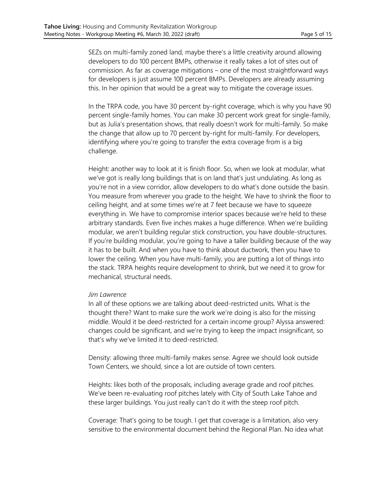SEZs on multi-family zoned land, maybe there's a little creativity around allowing developers to do 100 percent BMPs, otherwise it really takes a lot of sites out of commission. As far as coverage mitigations – one of the most straightforward ways for developers is just assume 100 percent BMPs. Developers are already assuming this. In her opinion that would be a great way to mitigate the coverage issues.

In the TRPA code, you have 30 percent by-right coverage, which is why you have 90 percent single-family homes. You can make 30 percent work great for single-family, but as Julia's presentation shows, that really doesn't work for multi-family. So make the change that allow up to 70 percent by-right for multi-family. For developers, identifying where you're going to transfer the extra coverage from is a big challenge.

Height: another way to look at it is finish floor. So, when we look at modular, what we've got is really long buildings that is on land that's just undulating. As long as you're not in a view corridor, allow developers to do what's done outside the basin. You measure from wherever you grade to the height. We have to shrink the floor to ceiling height, and at some times we're at 7 feet because we have to squeeze everything in. We have to compromise interior spaces because we're held to these arbitrary standards. Even five inches makes a huge difference. When we're building modular, we aren't building regular stick construction, you have double-structures. If you're building modular, you're going to have a taller building because of the way it has to be built. And when you have to think about ductwork, then you have to lower the ceiling. When you have multi-family, you are putting a lot of things into the stack. TRPA heights require development to shrink, but we need it to grow for mechanical, structural needs.

#### *Jim Lawrence*

In all of these options we are talking about deed-restricted units. What is the thought there? Want to make sure the work we're doing is also for the missing middle. Would it be deed-restricted for a certain income group? Alyssa answered: changes could be significant, and we're trying to keep the impact insignificant, so that's why we've limited it to deed-restricted.

Density: allowing three multi-family makes sense. Agree we should look outside Town Centers, we should, since a lot are outside of town centers.

Heights: likes both of the proposals, including average grade and roof pitches. We've been re-evaluating roof pitches lately with City of South Lake Tahoe and these larger buildings. You just really can't do it with the steep roof pitch.

Coverage: That's going to be tough. I get that coverage is a limitation, also very sensitive to the environmental document behind the Regional Plan. No idea what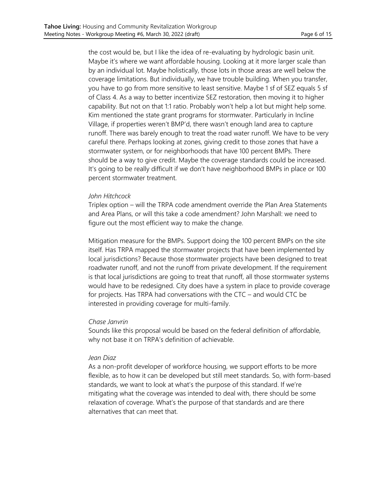the cost would be, but I like the idea of re-evaluating by hydrologic basin unit. Maybe it's where we want affordable housing. Looking at it more larger scale than by an individual lot. Maybe holistically, those lots in those areas are well below the coverage limitations. But individually, we have trouble building. When you transfer, you have to go from more sensitive to least sensitive. Maybe 1 sf of SEZ equals 5 sf of Class 4. As a way to better incentivize SEZ restoration, then moving it to higher capability. But not on that 1:1 ratio. Probably won't help a lot but might help some. Kim mentioned the state grant programs for stormwater. Particularly in Incline Village, if properties weren't BMP'd, there wasn't enough land area to capture runoff. There was barely enough to treat the road water runoff. We have to be very careful there. Perhaps looking at zones, giving credit to those zones that have a stormwater system, or for neighborhoods that have 100 percent BMPs. There should be a way to give credit. Maybe the coverage standards could be increased. It's going to be really difficult if we don't have neighborhood BMPs in place or 100 percent stormwater treatment.

#### *John Hitchcock*

Triplex option – will the TRPA code amendment override the Plan Area Statements and Area Plans, or will this take a code amendment? John Marshall: we need to figure out the most efficient way to make the change.

Mitigation measure for the BMPs. Support doing the 100 percent BMPs on the site itself. Has TRPA mapped the stormwater projects that have been implemented by local jurisdictions? Because those stormwater projects have been designed to treat roadwater runoff, and not the runoff from private development. If the requirement is that local jurisdictions are going to treat that runoff, all those stormwater systems would have to be redesigned. City does have a system in place to provide coverage for projects. Has TRPA had conversations with the CTC – and would CTC be interested in providing coverage for multi-family.

#### *Chase Janvrin*

Sounds like this proposal would be based on the federal definition of affordable, why not base it on TRPA's definition of achievable.

#### *Jean Diaz*

As a non-profit developer of workforce housing, we support efforts to be more flexible, as to how it can be developed but still meet standards. So, with form-based standards, we want to look at what's the purpose of this standard. If we're mitigating what the coverage was intended to deal with, there should be some relaxation of coverage. What's the purpose of that standards and are there alternatives that can meet that.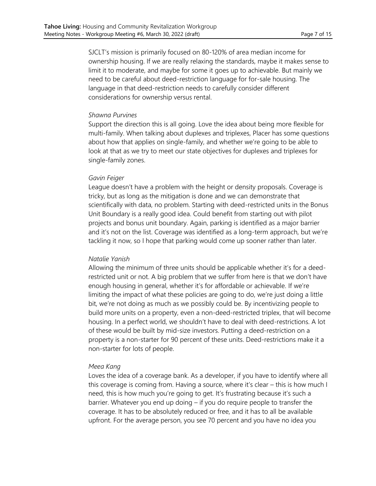SJCLT's mission is primarily focused on 80-120% of area median income for ownership housing. If we are really relaxing the standards, maybe it makes sense to limit it to moderate, and maybe for some it goes up to achievable. But mainly we need to be careful about deed-restriction language for for-sale housing. The language in that deed-restriction needs to carefully consider different considerations for ownership versus rental.

#### *Shawna Purvines*

Support the direction this is all going. Love the idea about being more flexible for multi-family. When talking about duplexes and triplexes, Placer has some questions about how that applies on single-family, and whether we're going to be able to look at that as we try to meet our state objectives for duplexes and triplexes for single-family zones.

#### *Gavin Feiger*

League doesn't have a problem with the height or density proposals. Coverage is tricky, but as long as the mitigation is done and we can demonstrate that scientifically with data, no problem. Starting with deed-restricted units in the Bonus Unit Boundary is a really good idea. Could benefit from starting out with pilot projects and bonus unit boundary. Again, parking is identified as a major barrier and it's not on the list. Coverage was identified as a long-term approach, but we're tackling it now, so I hope that parking would come up sooner rather than later.

#### *Natalie Yanish*

Allowing the minimum of three units should be applicable whether it's for a deedrestricted unit or not. A big problem that we suffer from here is that we don't have enough housing in general, whether it's for affordable or achievable. If we're limiting the impact of what these policies are going to do, we're just doing a little bit, we're not doing as much as we possibly could be. By incentivizing people to build more units on a property, even a non-deed-restricted triplex, that will become housing. In a perfect world, we shouldn't have to deal with deed-restrictions. A lot of these would be built by mid-size investors. Putting a deed-restriction on a property is a non-starter for 90 percent of these units. Deed-restrictions make it a non-starter for lots of people.

#### *Meea Kang*

Loves the idea of a coverage bank. As a developer, if you have to identify where all this coverage is coming from. Having a source, where it's clear – this is how much I need, this is how much you're going to get. It's frustrating because it's such a barrier. Whatever you end up doing – if you do require people to transfer the coverage. It has to be absolutely reduced or free, and it has to all be available upfront. For the average person, you see 70 percent and you have no idea you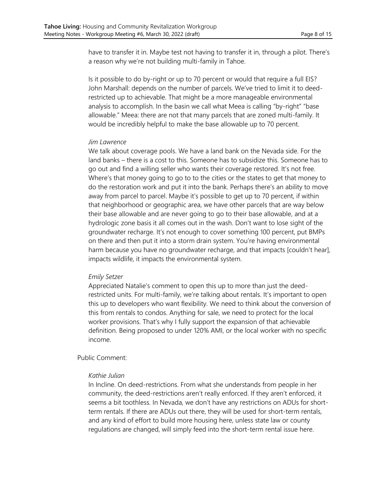have to transfer it in. Maybe test not having to transfer it in, through a pilot. There's a reason why we're not building multi-family in Tahoe.

Is it possible to do by-right or up to 70 percent or would that require a full EIS? John Marshall: depends on the number of parcels. We've tried to limit it to deedrestricted up to achievable. That might be a more manageable environmental analysis to accomplish. In the basin we call what Meea is calling "by-right" "base allowable." Meea: there are not that many parcels that are zoned multi-family. It would be incredibly helpful to make the base allowable up to 70 percent.

#### *Jim Lawrence*

We talk about coverage pools. We have a land bank on the Nevada side. For the land banks – there is a cost to this. Someone has to subsidize this. Someone has to go out and find a willing seller who wants their coverage restored. It's not free. Where's that money going to go to to the cities or the states to get that money to do the restoration work and put it into the bank. Perhaps there's an ability to move away from parcel to parcel. Maybe it's possible to get up to 70 percent, if within that neighborhood or geographic area, we have other parcels that are way below their base allowable and are never going to go to their base allowable, and at a hydrologic zone basis it all comes out in the wash. Don't want to lose sight of the groundwater recharge. It's not enough to cover something 100 percent, put BMPs on there and then put it into a storm drain system. You're having environmental harm because you have no groundwater recharge, and that impacts [couldn't hear], impacts wildlife, it impacts the environmental system.

#### *Emily Setzer*

Appreciated Natalie's comment to open this up to more than just the deedrestricted units. For multi-family, we're talking about rentals. It's important to open this up to developers who want flexibility. We need to think about the conversion of this from rentals to condos. Anything for sale, we need to protect for the local worker provisions. That's why I fully support the expansion of that achievable definition. Being proposed to under 120% AMI, or the local worker with no specific income.

#### Public Comment:

#### *Kathie Julian*

In Incline. On deed-restrictions. From what she understands from people in her community, the deed-restrictions aren't really enforced. If they aren't enforced, it seems a bit toothless. In Nevada, we don't have any restrictions on ADUs for shortterm rentals. If there are ADUs out there, they will be used for short-term rentals, and any kind of effort to build more housing here, unless state law or county regulations are changed, will simply feed into the short-term rental issue here.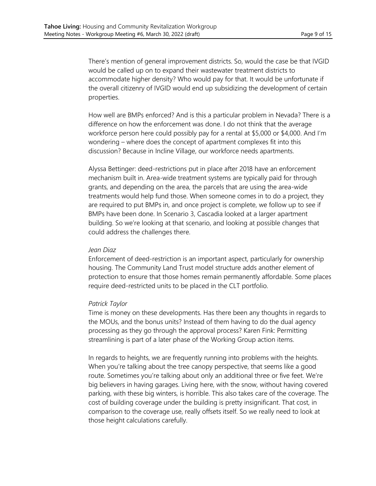There's mention of general improvement districts. So, would the case be that IVGID would be called up on to expand their wastewater treatment districts to accommodate higher density? Who would pay for that. It would be unfortunate if the overall citizenry of IVGID would end up subsidizing the development of certain properties.

How well are BMPs enforced? And is this a particular problem in Nevada? There is a difference on how the enforcement was done. I do not think that the average workforce person here could possibly pay for a rental at \$5,000 or \$4,000. And I'm wondering – where does the concept of apartment complexes fit into this discussion? Because in Incline Village, our workforce needs apartments.

Alyssa Bettinger: deed-restrictions put in place after 2018 have an enforcement mechanism built in. Area-wide treatment systems are typically paid for through grants, and depending on the area, the parcels that are using the area-wide treatments would help fund those. When someone comes in to do a project, they are required to put BMPs in, and once project is complete, we follow up to see if BMPs have been done. In Scenario 3, Cascadia looked at a larger apartment building. So we're looking at that scenario, and looking at possible changes that could address the challenges there.

#### *Jean Diaz*

Enforcement of deed-restriction is an important aspect, particularly for ownership housing. The Community Land Trust model structure adds another element of protection to ensure that those homes remain permanently affordable. Some places require deed-restricted units to be placed in the CLT portfolio.

#### *Patrick Taylor*

Time is money on these developments. Has there been any thoughts in regards to the MOUs, and the bonus units? Instead of them having to do the dual agency processing as they go through the approval process? Karen Fink: Permitting streamlining is part of a later phase of the Working Group action items.

In regards to heights, we are frequently running into problems with the heights. When you're talking about the tree canopy perspective, that seems like a good route. Sometimes you're talking about only an additional three or five feet. We're big believers in having garages. Living here, with the snow, without having covered parking, with these big winters, is horrible. This also takes care of the coverage. The cost of building coverage under the building is pretty insignificant. That cost, in comparison to the coverage use, really offsets itself. So we really need to look at those height calculations carefully.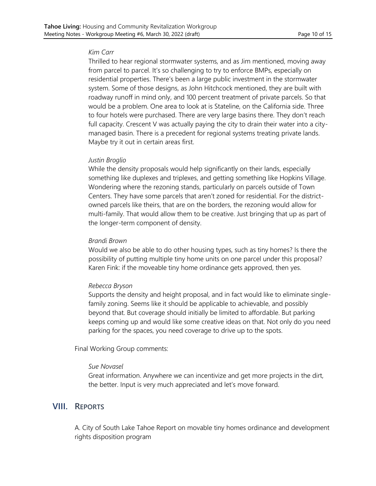#### *Kim Carr*

Thrilled to hear regional stormwater systems, and as Jim mentioned, moving away from parcel to parcel. It's so challenging to try to enforce BMPs, especially on residential properties. There's been a large public investment in the stormwater system. Some of those designs, as John Hitchcock mentioned, they are built with roadway runoff in mind only, and 100 percent treatment of private parcels. So that would be a problem. One area to look at is Stateline, on the California side. Three to four hotels were purchased. There are very large basins there. They don't reach full capacity. Crescent V was actually paying the city to drain their water into a citymanaged basin. There is a precedent for regional systems treating private lands. Maybe try it out in certain areas first.

#### *Justin Broglio*

While the density proposals would help significantly on their lands, especially something like duplexes and triplexes, and getting something like Hopkins Village. Wondering where the rezoning stands, particularly on parcels outside of Town Centers. They have some parcels that aren't zoned for residential. For the districtowned parcels like theirs, that are on the borders, the rezoning would allow for multi-family. That would allow them to be creative. Just bringing that up as part of the longer-term component of density.

#### *Brandi Brown*

Would we also be able to do other housing types, such as tiny homes? Is there the possibility of putting multiple tiny home units on one parcel under this proposal? Karen Fink: if the moveable tiny home ordinance gets approved, then yes.

#### *Rebecca Bryson*

Supports the density and height proposal, and in fact would like to eliminate singlefamily zoning. Seems like it should be applicable to achievable, and possibly beyond that. But coverage should initially be limited to affordable. But parking keeps coming up and would like some creative ideas on that. Not only do you need parking for the spaces, you need coverage to drive up to the spots.

Final Working Group comments:

#### *Sue Novasel*

Great information. Anywhere we can incentivize and get more projects in the dirt, the better. Input is very much appreciated and let's move forward.

## **VIII. REPORTS**

A. City of South Lake Tahoe Report on movable tiny homes ordinance and development rights disposition program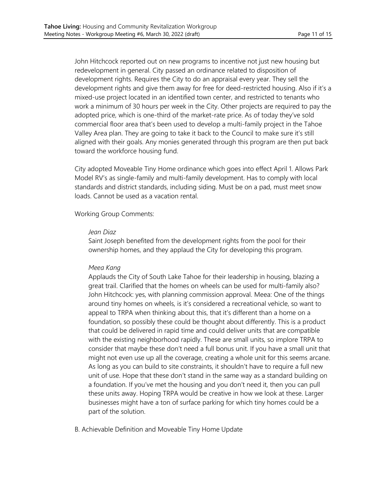John Hitchcock reported out on new programs to incentive not just new housing but redevelopment in general. City passed an ordinance related to disposition of development rights. Requires the City to do an appraisal every year. They sell the development rights and give them away for free for deed-restricted housing. Also if it's a mixed-use project located in an identified town center, and restricted to tenants who work a minimum of 30 hours per week in the City. Other projects are required to pay the adopted price, which is one-third of the market-rate price. As of today they've sold commercial floor area that's been used to develop a multi-family project in the Tahoe Valley Area plan. They are going to take it back to the Council to make sure it's still aligned with their goals. Any monies generated through this program are then put back toward the workforce housing fund.

City adopted Moveable Tiny Home ordinance which goes into effect April 1. Allows Park Model RV's as single-family and multi-family development. Has to comply with local standards and district standards, including siding. Must be on a pad, must meet snow loads. Cannot be used as a vacation rental.

Working Group Comments:

#### *Jean Diaz*

Saint Joseph benefited from the development rights from the pool for their ownership homes, and they applaud the City for developing this program.

#### *Meea Kang*

Applauds the City of South Lake Tahoe for their leadership in housing, blazing a great trail. Clarified that the homes on wheels can be used for multi-family also? John Hitchcock: yes, with planning commission approval. Meea: One of the things around tiny homes on wheels, is it's considered a recreational vehicle, so want to appeal to TRPA when thinking about this, that it's different than a home on a foundation, so possibly these could be thought about differently. This is a product that could be delivered in rapid time and could deliver units that are compatible with the existing neighborhood rapidly. These are small units, so implore TRPA to consider that maybe these don't need a full bonus unit. If you have a small unit that might not even use up all the coverage, creating a whole unit for this seems arcane. As long as you can build to site constraints, it shouldn't have to require a full new unit of use. Hope that these don't stand in the same way as a standard building on a foundation. If you've met the housing and you don't need it, then you can pull these units away. Hoping TRPA would be creative in how we look at these. Larger businesses might have a ton of surface parking for which tiny homes could be a part of the solution.

B. Achievable Definition and Moveable Tiny Home Update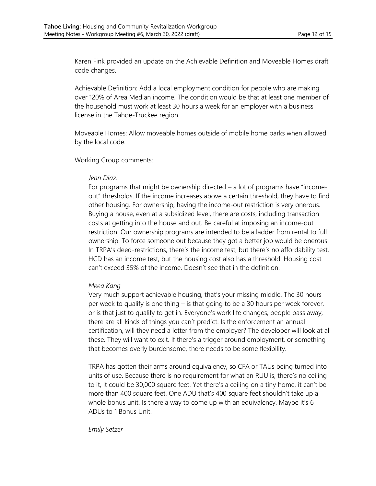Karen Fink provided an update on the Achievable Definition and Moveable Homes draft code changes.

Achievable Definition: Add a local employment condition for people who are making over 120% of Area Median income. The condition would be that at least one member of the household must work at least 30 hours a week for an employer with a business license in the Tahoe-Truckee region.

Moveable Homes: Allow moveable homes outside of mobile home parks when allowed by the local code.

Working Group comments:

#### *Jean Diaz:*

For programs that might be ownership directed – a lot of programs have "incomeout" thresholds. If the income increases above a certain threshold, they have to find other housing. For ownership, having the income-out restriction is very onerous. Buying a house, even at a subsidized level, there are costs, including transaction costs at getting into the house and out. Be careful at imposing an income-out restriction. Our ownership programs are intended to be a ladder from rental to full ownership. To force someone out because they got a better job would be onerous. In TRPA's deed-restrictions, there's the income test, but there's no affordability test. HCD has an income test, but the housing cost also has a threshold. Housing cost can't exceed 35% of the income. Doesn't see that in the definition.

## *Meea Kang*

Very much support achievable housing, that's your missing middle. The 30 hours per week to qualify is one thing – is that going to be a 30 hours per week forever, or is that just to qualify to get in. Everyone's work life changes, people pass away, there are all kinds of things you can't predict. Is the enforcement an annual certification, will they need a letter from the employer? The developer will look at all these. They will want to exit. If there's a trigger around employment, or something that becomes overly burdensome, there needs to be some flexibility.

TRPA has gotten their arms around equivalency, so CFA or TAUs being turned into units of use. Because there is no requirement for what an RUU is, there's no ceiling to it, it could be 30,000 square feet. Yet there's a ceiling on a tiny home, it can't be more than 400 square feet. One ADU that's 400 square feet shouldn't take up a whole bonus unit. Is there a way to come up with an equivalency. Maybe it's 6 ADUs to 1 Bonus Unit.

#### *Emily Setzer*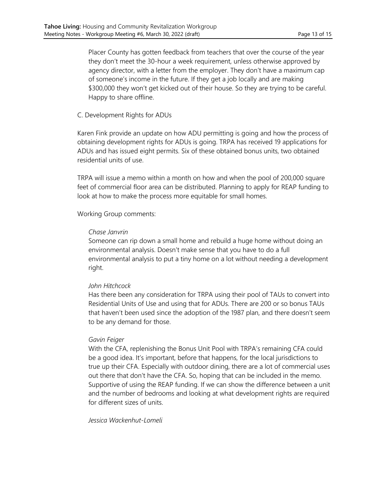Placer County has gotten feedback from teachers that over the course of the year they don't meet the 30-hour a week requirement, unless otherwise approved by agency director, with a letter from the employer. They don't have a maximum cap of someone's income in the future. If they get a job locally and are making \$300,000 they won't get kicked out of their house. So they are trying to be careful. Happy to share offline.

### C. Development Rights for ADUs

Karen Fink provide an update on how ADU permitting is going and how the process of obtaining development rights for ADUs is going. TRPA has received 19 applications for ADUs and has issued eight permits. Six of these obtained bonus units, two obtained residential units of use.

TRPA will issue a memo within a month on how and when the pool of 200,000 square feet of commercial floor area can be distributed. Planning to apply for REAP funding to look at how to make the process more equitable for small homes.

### Working Group comments:

### *Chase Janvrin*

Someone can rip down a small home and rebuild a huge home without doing an environmental analysis. Doesn't make sense that you have to do a full environmental analysis to put a tiny home on a lot without needing a development right.

## *John Hitchcock*

Has there been any consideration for TRPA using their pool of TAUs to convert into Residential Units of Use and using that for ADUs. There are 200 or so bonus TAUs that haven't been used since the adoption of the 1987 plan, and there doesn't seem to be any demand for those.

#### *Gavin Feiger*

With the CFA, replenishing the Bonus Unit Pool with TRPA's remaining CFA could be a good idea. It's important, before that happens, for the local jurisdictions to true up their CFA. Especially with outdoor dining, there are a lot of commercial uses out there that don't have the CFA. So, hoping that can be included in the memo. Supportive of using the REAP funding. If we can show the difference between a unit and the number of bedrooms and looking at what development rights are required for different sizes of units.

#### *Jessica Wackenhut-Lomeli*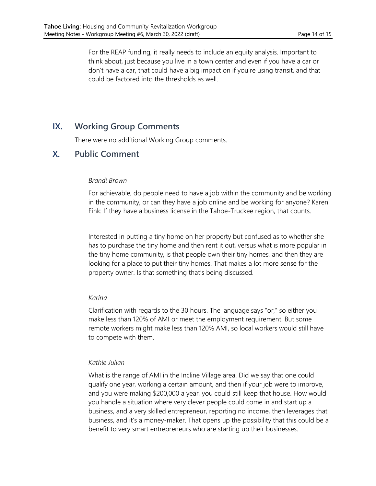For the REAP funding, it really needs to include an equity analysis. Important to think about, just because you live in a town center and even if you have a car or don't have a car, that could have a big impact on if you're using transit, and that could be factored into the thresholds as well.

## **IX. Working Group Comments**

There were no additional Working Group comments.

## **X. Public Comment**

### *Brandi Brown*

For achievable, do people need to have a job within the community and be working in the community, or can they have a job online and be working for anyone? Karen Fink: If they have a business license in the Tahoe-Truckee region, that counts.

Interested in putting a tiny home on her property but confused as to whether she has to purchase the tiny home and then rent it out, versus what is more popular in the tiny home community, is that people own their tiny homes, and then they are looking for a place to put their tiny homes. That makes a lot more sense for the property owner. Is that something that's being discussed.

#### *Karina*

Clarification with regards to the 30 hours. The language says "or," so either you make less than 120% of AMI or meet the employment requirement. But some remote workers might make less than 120% AMI, so local workers would still have to compete with them.

#### *Kathie Julian*

What is the range of AMI in the Incline Village area. Did we say that one could qualify one year, working a certain amount, and then if your job were to improve, and you were making \$200,000 a year, you could still keep that house. How would you handle a situation where very clever people could come in and start up a business, and a very skilled entrepreneur, reporting no income, then leverages that business, and it's a money-maker. That opens up the possibility that this could be a benefit to very smart entrepreneurs who are starting up their businesses.